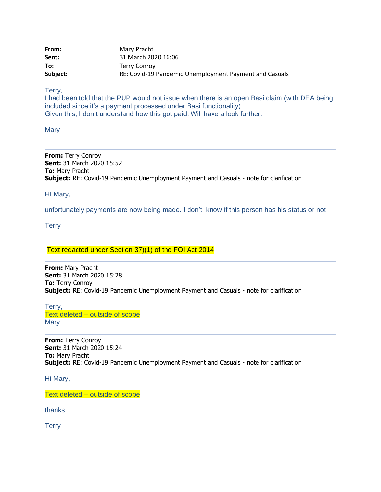| From:    | Mary Pracht                                            |
|----------|--------------------------------------------------------|
| Sent:    | 31 March 2020 16:06                                    |
| To:      | Terry Conrov                                           |
| Subject: | RE: Covid-19 Pandemic Unemployment Payment and Casuals |

Terry,

I had been told that the PUP would not issue when there is an open Basi claim (with DEA being included since it's a payment processed under Basi functionality) Given this, I don't understand how this got paid. Will have a look further.

**Mary** 

**From:** Terry Conroy **Sent:** 31 March 2020 15:52 **To:** Mary Pracht **Subject:** RE: Covid-19 Pandemic Unemployment Payment and Casuals - note for clarification

HI Mary,

unfortunately payments are now being made. I don't know if this person has his status or not

**Terry** 

Text redacted under Section 37)(1) of the FOI Act 2014

**From:** Mary Pracht **Sent:** 31 March 2020 15:28 **To:** Terry Conroy **Subject:** RE: Covid-19 Pandemic Unemployment Payment and Casuals - note for clarification

Terry, Text deleted – outside of scope **Mary** 

**From:** Terry Conroy **Sent:** 31 March 2020 15:24 **To:** Mary Pracht **Subject:** RE: Covid-19 Pandemic Unemployment Payment and Casuals - note for clarification

Hi Mary,

Text deleted – outside of scope

thanks

**Terry**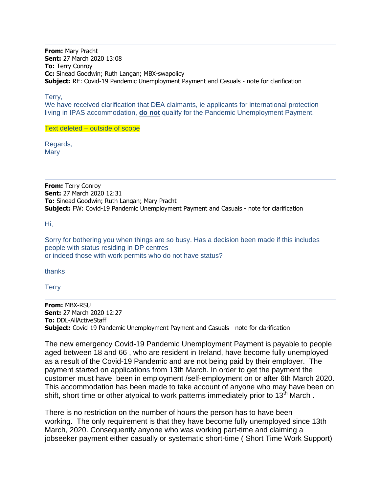**From:** Mary Pracht **Sent:** 27 March 2020 13:08 **To:** Terry Conroy **Cc:** Sinead Goodwin; Ruth Langan; MBX-swapolicy **Subject:** RE: Covid-19 Pandemic Unemployment Payment and Casuals - note for clarification

Terry,

We have received clarification that DEA claimants, ie applicants for international protection living in IPAS accommodation, **do not** qualify for the Pandemic Unemployment Payment.

Text deleted – outside of scope

Regards, **Mary** 

**From:** Terry Conroy **Sent:** 27 March 2020 12:31 **To:** Sinead Goodwin; Ruth Langan; Mary Pracht **Subject:** FW: Covid-19 Pandemic Unemployment Payment and Casuals - note for clarification

Hi,

Sorry for bothering you when things are so busy. Has a decision been made if this includes people with status residing in DP centres or indeed those with work permits who do not have status?

thanks

**Terry** 

**From:** MBX-RSU **Sent:** 27 March 2020 12:27 **To:** DDL-AllActiveStaff **Subject:** Covid-19 Pandemic Unemployment Payment and Casuals - note for clarification

The new emergency Covid-19 Pandemic Unemployment Payment is payable to people aged between 18 and 66 , who are resident in Ireland, have become fully unemployed as a result of the Covid-19 Pandemic and are not being paid by their employer. The payment started on applications from 13th March. In order to get the payment the customer must have been in employment /self-employment on or after 6th March 2020. This accommodation has been made to take account of anyone who may have been on shift, short time or other atypical to work patterns immediately prior to 13<sup>th</sup> March.

There is no restriction on the number of hours the person has to have been working. The only requirement is that they have become fully unemployed since 13th March, 2020. Consequently anyone who was working part-time and claiming a jobseeker payment either casually or systematic short-time ( Short Time Work Support)